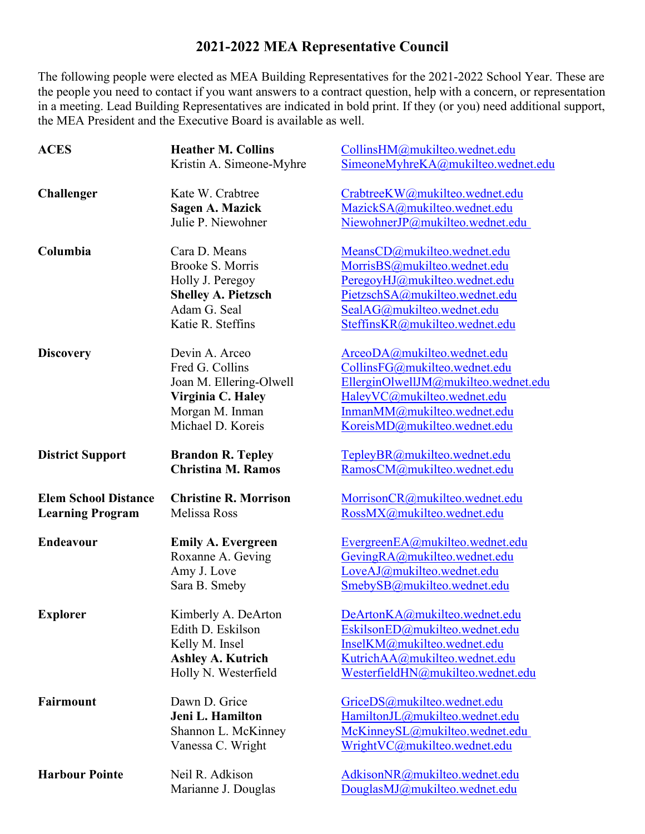## **2021-2022 MEA Representative Council**

The following people were elected as MEA Building Representatives for the 2021-2022 School Year. These are the people you need to contact if you want answers to a contract question, help with a concern, or representation in a meeting. Lead Building Representatives are indicated in bold print. If they (or you) need additional support, the MEA President and the Executive Board is available as well.

| <b>ACES</b>                 | <b>Heather M. Collins</b>            | CollinsHM@mukilteo.wednet.edu        |
|-----------------------------|--------------------------------------|--------------------------------------|
|                             | Kristin A. Simeone-Myhre             | SimeoneMyhreKA@mukilteo.wednet.edu   |
|                             |                                      |                                      |
| <b>Challenger</b>           | Kate W. Crabtree                     | CrabtreeKW@mukilteo.wednet.edu       |
|                             | <b>Sagen A. Mazick</b>               | MazickSA@mukilteo.wednet.edu         |
|                             | Julie P. Niewohner                   | NiewohnerJP@mukilteo.wednet.edu      |
|                             |                                      |                                      |
| Columbia                    | Cara D. Means                        | MeansCD@mukilteo.wednet.edu          |
|                             | Brooke S. Morris                     | MorrisBS@mukilteo.wednet.edu         |
|                             | Holly J. Peregoy                     | PeregoyHJ@mukilteo.wednet.edu        |
|                             | <b>Shelley A. Pietzsch</b>           | PietzschSA@mukilteo.wednet.edu       |
|                             | Adam G. Seal                         | SealAG@mukilteo.wednet.edu           |
|                             | Katie R. Steffins                    | SteffinsKR@mukilteo.wednet.edu       |
|                             | Devin A. Arceo                       | ArceoDA@mukilteo.wednet.edu          |
| <b>Discovery</b>            | Fred G. Collins                      | CollinsFG@mukilteo.wednet.edu        |
|                             | Joan M. Ellering-Olwell              | EllerginOlwellJM@mukilteo.wednet.edu |
|                             |                                      | HaleyVC@mukilteo.wednet.edu          |
|                             | Virginia C. Haley                    | InmanMM@mukilteo.wednet.edu          |
|                             | Morgan M. Inman<br>Michael D. Koreis | KoreisMD@mukilteo.wednet.edu         |
|                             |                                      |                                      |
| <b>District Support</b>     | <b>Brandon R. Tepley</b>             | TepleyBR@mukilteo.wednet.edu         |
|                             | <b>Christina M. Ramos</b>            | RamosCM@mukilteo.wednet.edu          |
|                             |                                      |                                      |
|                             |                                      |                                      |
| <b>Elem School Distance</b> | <b>Christine R. Morrison</b>         | MorrisonCR@mukilteo.wednet.edu       |
| <b>Learning Program</b>     | Melissa Ross                         | RossMX@mukilteo.wednet.edu           |
|                             |                                      |                                      |
| Endeavour                   | <b>Emily A. Evergreen</b>            | EvergreenEA@mukilteo.wednet.edu      |
|                             | Roxanne A. Geving                    | GevingRA@mukilteo.wednet.edu         |
|                             | Amy J. Love                          | LoveAJ@mukilteo.wednet.edu           |
|                             | Sara B. Smeby                        | SmebySB@mukilteo.wednet.edu          |
|                             |                                      |                                      |
| <b>Explorer</b>             | Kimberly A. DeArton                  | DeArtonKA@mukilteo.wednet.edu        |
|                             | Edith D. Eskilson                    | EskilsonED@mukilteo.wednet.edu       |
|                             | Kelly M. Insel                       | InselKM@mukilteo.wednet.edu          |
|                             | <b>Ashley A. Kutrich</b>             | KutrichAA@mukilteo.wednet.edu        |
|                             | Holly N. Westerfield                 | WesterfieldHN@mukilteo.wednet.edu    |
|                             | Dawn D. Grice                        |                                      |
| <b>Fairmount</b>            |                                      | GriceDS@mukilteo.wednet.edu          |
|                             | Jeni L. Hamilton                     | HamiltonJL@mukilteo.wednet.edu       |
|                             | Shannon L. McKinney                  | McKinneySL@mukilteo.wednet.edu       |
|                             | Vanessa C. Wright                    | WrightVC@mukilteo.wednet.edu         |
| <b>Harbour Pointe</b>       | Neil R. Adkison                      | AdkisonNR@mukilteo.wednet.edu        |
|                             | Marianne J. Douglas                  | DouglasMJ@mukilteo.wednet.edu        |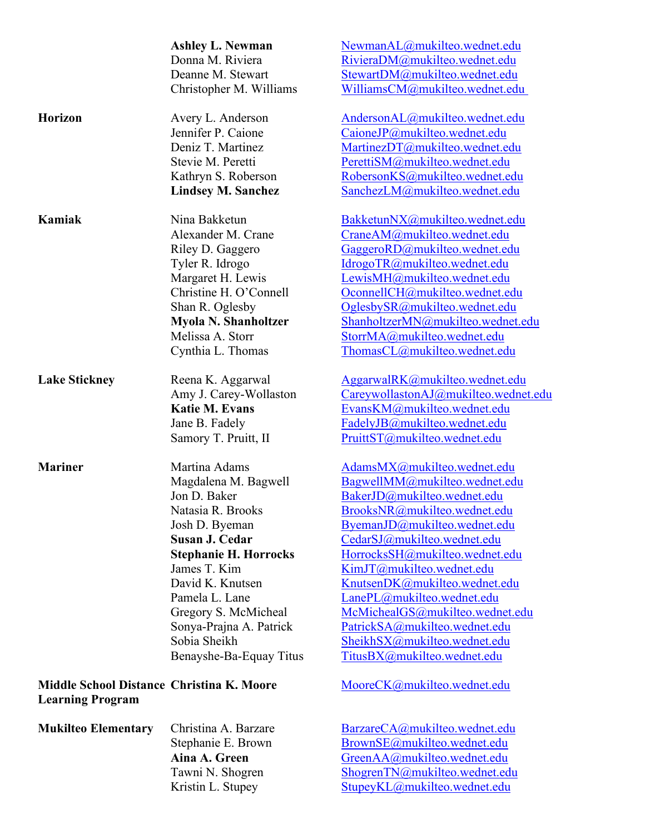|                                                                             | <b>Ashley L. Newman</b>      | NewmanAL@mukilteo.wednet.edu         |
|-----------------------------------------------------------------------------|------------------------------|--------------------------------------|
|                                                                             | Donna M. Riviera             | RivieraDM@mukilteo.wednet.edu        |
|                                                                             | Deanne M. Stewart            | StewartDM@mukilteo.wednet.edu        |
|                                                                             | Christopher M. Williams      | WilliamsCM@mukilteo.wednet.edu       |
| <b>Horizon</b>                                                              | Avery L. Anderson            | AndersonAL@mukilteo.wednet.edu       |
|                                                                             | Jennifer P. Caione           | CaioneJP@mukilteo.wednet.edu         |
|                                                                             | Deniz T. Martinez            | MartinezDT@mukilteo.wednet.edu       |
|                                                                             | Stevie M. Peretti            | PerettiSM@mukilteo.wednet.edu        |
|                                                                             | Kathryn S. Roberson          | RobersonKS@mukilteo.wednet.edu       |
|                                                                             | <b>Lindsey M. Sanchez</b>    | SanchezLM@mukilteo.wednet.edu        |
| Kamiak                                                                      | Nina Bakketun                | BakketunNX@mukilteo.wednet.edu       |
|                                                                             | Alexander M. Crane           | CraneAM@mukilteo.wednet.edu          |
|                                                                             | Riley D. Gaggero             | GaggeroRD@mukilteo.wednet.edu        |
|                                                                             | Tyler R. Idrogo              | IdrogoTR@mukilteo.wednet.edu         |
|                                                                             | Margaret H. Lewis            | LewisMH@mukilteo.wednet.edu          |
|                                                                             | Christine H. O'Connell       | OconnellCH@mukilteo.wednet.edu       |
|                                                                             | Shan R. Oglesby              | OglesbySR@mukilteo.wednet.edu        |
|                                                                             | <b>Myola N. Shanholtzer</b>  | ShanholtzerMN@mukilteo.wednet.edu    |
|                                                                             | Melissa A. Storr             | StorrMA@mukilteo.wednet.edu          |
|                                                                             | Cynthia L. Thomas            | ThomasCL@mukilteo.wednet.edu         |
| <b>Lake Stickney</b>                                                        | Reena K. Aggarwal            | AggarwalRK@mukilteo.wednet.edu       |
|                                                                             | Amy J. Carey-Wollaston       | CareywollastonAJ@mukilteo.wednet.edu |
|                                                                             | <b>Katie M. Evans</b>        | EvansKM@mukilteo.wednet.edu          |
|                                                                             | Jane B. Fadely               | FadelyJB@mukilteo.wednet.edu         |
|                                                                             | Samory T. Pruitt, II         | PruittST@mukilteo.wednet.edu         |
| <b>Mariner</b>                                                              | Martina Adams                | AdamsMX@mukilteo.wednet.edu          |
|                                                                             | Magdalena M. Bagwell         | BagwellMM@mukilteo.wednet.edu        |
|                                                                             | Jon D. Baker                 | BakerJD@mukilteo.wednet.edu          |
|                                                                             | Natasia R. Brooks            | BrooksNR@mukilteo.wednet.edu         |
|                                                                             | Josh D. Byeman               | ByemanJD@mukilteo.wednet.edu         |
|                                                                             | Susan J. Cedar               | CedarSJ@mukilteo.wednet.edu          |
|                                                                             | <b>Stephanie H. Horrocks</b> | HorrocksSH@mukilteo.wednet.edu       |
|                                                                             | James T. Kim                 | KimJT@mukilteo.wednet.edu            |
|                                                                             | David K. Knutsen             | KnutsenDK@mukilteo.wednet.edu        |
|                                                                             | Pamela L. Lane               | LanePL@mukilteo.wednet.edu           |
|                                                                             | Gregory S. McMicheal         | McMichealGS@mukilteo.wednet.edu      |
|                                                                             | Sonya-Prajna A. Patrick      | PatrickSA@mukilteo.wednet.edu        |
|                                                                             | Sobia Sheikh                 | SheikhSX@mukilteo.wednet.edu         |
|                                                                             | Benayshe-Ba-Equay Titus      | TitusBX@mukilteo.wednet.edu          |
| <b>Middle School Distance Christina K. Moore</b><br><b>Learning Program</b> |                              | MooreCK@mukilteo.wednet.edu          |
| <b>Mukilteo Elementary</b>                                                  | Christina A. Barzare         | BarzareCA@mukilteo.wednet.edu        |
|                                                                             | Stephanie E. Brown           | BrownSE@mukilteo.wednet.edu          |
|                                                                             | Aina A. Green                | GreenAA@mukilteo.wednet.edu          |
|                                                                             | Tawni N. Shogren             | ShogrenTN@mukilteo.wednet.edu        |
|                                                                             | Kristin L. Stupey            | StupeyKL@mukilteo.wednet.edu         |
|                                                                             |                              |                                      |